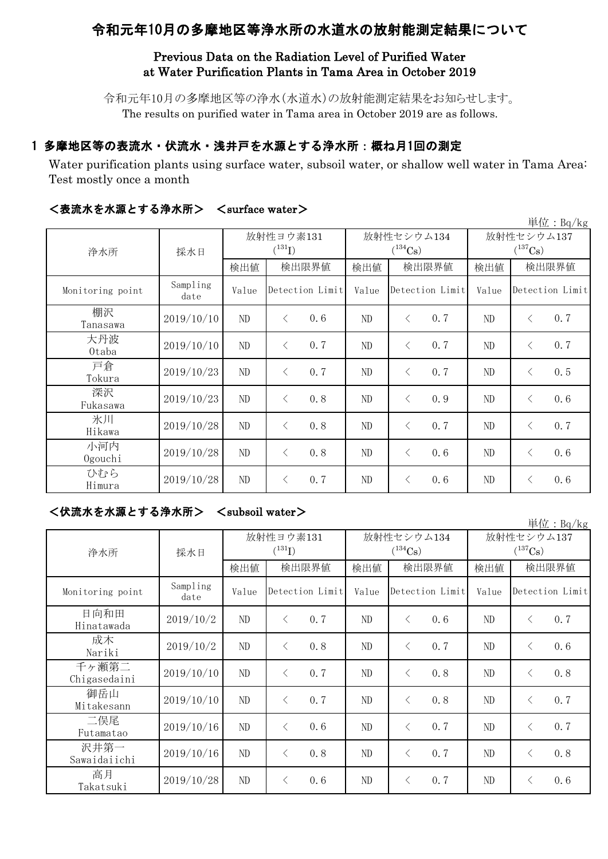# 令和元年10月の多摩地区等浄水所の水道水の放射能測定結果について

## Previous Data on the Radiation Level of Purified Water at Water Purification Plants in Tama Area in October 2019

令和元年10月の多摩地区等の浄水(水道水)の放射能測定結果をお知らせします。 The results on purified water in Tama area in October 2019 are as follows.

# 1 多摩地区等の表流水・伏流水・浅井戸を水源とする浄水所:概ね月1回の測定

Water purification plants using surface water, subsoil water, or shallow well water in Tama Area: Test mostly once a month

| 単位: $Bq/kg$      |                  |                          |                 |     |                            |                 |     |                                     |           |                 |
|------------------|------------------|--------------------------|-----------------|-----|----------------------------|-----------------|-----|-------------------------------------|-----------|-----------------|
| 浄水所              | 採水日              | 放射性ヨウ素131<br>$(^{131}I)$ |                 |     | 放射性セシウム134<br>$(^{134}Cs)$ |                 |     | 放射性セシウム137<br>$(^{137}\mathrm{Cs})$ |           |                 |
|                  |                  | 検出値                      | 検出限界値           |     | 検出値                        | 検出限界値           |     | 検出値                                 | 検出限界値     |                 |
| Monitoring point | Sampling<br>date | Value                    | Detection Limit |     | Value                      | Detection Limit |     | Value                               |           | Detection Limit |
| 棚沢<br>Tanasawa   | 2019/10/10       | ND                       | $\langle$       | 0.6 | $\rm ND$                   | $\lt$           | 0.7 | $\rm ND$                            | $\langle$ | 0.7             |
| 大丹波<br>0taba     | 2019/10/10       | ND                       | $\lt$           | 0.7 | ND                         | $\langle$       | 0.7 | ND                                  | $\langle$ | 0.7             |
| 戸倉<br>Tokura     | 2019/10/23       | ND                       | $\lt$           | 0.7 | ND                         | $\lt$           | 0.7 | ND                                  | $\lt$     | 0.5             |
| 深沢<br>Fukasawa   | 2019/10/23       | ND                       | $\lt$           | 0.8 | ND                         | $\langle$       | 0.9 | ND                                  | $\lt$     | 0.6             |
| 氷川<br>Hikawa     | 2019/10/28       | ND                       | $\lt$           | 0.8 | $\rm ND$                   | $\lt$           | 0.7 | ND                                  | $\lt$     | 0.7             |
| 小河内<br>Ogouchi   | 2019/10/28       | ND                       | $\langle$       | 0.8 | ND                         | $\lt$           | 0.6 | ND                                  | $\langle$ | 0.6             |
| ひむら<br>Himura    | 2019/10/28       | ND                       | $\lt$           | 0.7 | ND                         | $\lt$           | 0.6 | ND                                  | $\lt$     | 0.6             |

#### <表流水を水源とする浄水所> <surface water>

### <伏流水を水源とする浄水所> <subsoil water>

単位:Bq/kg 検出値 | 検出限界値 | 検出値 | 検出限界値 | 検出限界値 Monitoring point Sampling<br>date Value Detection Limit Value Detection Limit Value 日向和田 Hinatawada 2019/10/2 ND <sup>&</sup>lt; 0.7 ND <sup>&</sup>lt; 0.6 ND <sup>&</sup>lt; 0.7 成木 Nariki 2019/10/2 ND <sup>&</sup>lt; 0.8 ND <sup>&</sup>lt; 0.7 ND <sup>&</sup>lt; 0.6 千ヶ瀬第二 Chigasedaini  $2019/10/10$  ND  $\langle 0.7 \rangle$  ND  $\langle 0.8 \rangle$  ND  $\langle 0.8 \rangle$ 御岳山 Mitakesann  $2019/10/10$  ND  $\langle 0.7 \rangle$  ND  $\langle 0.8 \rangle$  ND  $\langle 0.7 \rangle$ 二俣尾 Futamatao 2019/10/16 ND <sup>&</sup>lt; 0.6 ND <sup>&</sup>lt; 0.7 ND <sup>&</sup>lt; 0.7 沢井第一 Sawaidaiichi 2019/10/16 ND <sup>&</sup>lt; 0.8 ND <sup>&</sup>lt; 0.7 ND <sup>&</sup>lt; 0.8 高月  $T_{\rm{akatsuki}}$  2019/10/28 ND < 0.6 ND < 0.7 ND < 0.6 浄水所 採水日 Detection Limit 放射性ヨウ素131  $(^{131}I)$ 放射性セシウム134  $(^{134}Cs)$ 放射性セシウム137  $(^{137}Cs)$ Detection Limit